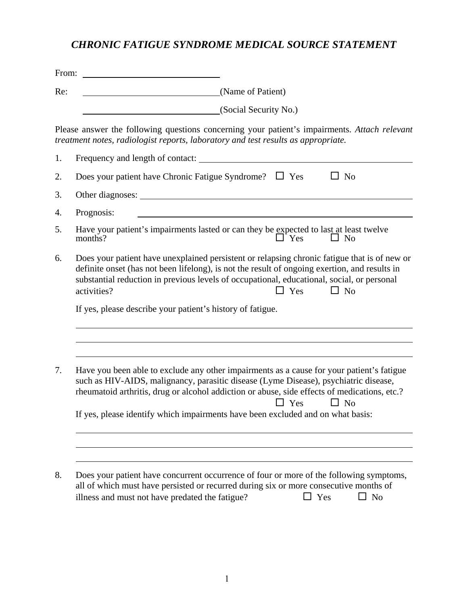## *CHRONIC FATIGUE SYNDROME MEDICAL SOURCE STATEMENT*

| From: |                                                                                                                                                                                                                                                                                                                                                                                                 |
|-------|-------------------------------------------------------------------------------------------------------------------------------------------------------------------------------------------------------------------------------------------------------------------------------------------------------------------------------------------------------------------------------------------------|
| Re:   | (Name of Patient)                                                                                                                                                                                                                                                                                                                                                                               |
|       | (Social Security No.)                                                                                                                                                                                                                                                                                                                                                                           |
|       | Please answer the following questions concerning your patient's impairments. Attach relevant<br>treatment notes, radiologist reports, laboratory and test results as appropriate.                                                                                                                                                                                                               |
| 1.    | Frequency and length of contact:                                                                                                                                                                                                                                                                                                                                                                |
| 2.    | Does your patient have Chronic Fatigue Syndrome? $\square$ Yes<br>$\Box$ No                                                                                                                                                                                                                                                                                                                     |
| 3.    |                                                                                                                                                                                                                                                                                                                                                                                                 |
| 4.    | Prognosis:                                                                                                                                                                                                                                                                                                                                                                                      |
| 5.    | Have your patient's impairments lasted or can they be expected to last at least twelve<br>$\Box$ Yes<br>months?<br>$\Box$ No                                                                                                                                                                                                                                                                    |
| 6.    | Does your patient have unexplained persistent or relapsing chronic fatigue that is of new or<br>definite onset (has not been lifelong), is not the result of ongoing exertion, and results in<br>substantial reduction in previous levels of occupational, educational, social, or personal<br>$\Box$ Yes<br>$\Box$ No<br>activities?                                                           |
|       | If yes, please describe your patient's history of fatigue.                                                                                                                                                                                                                                                                                                                                      |
| 7.    | Have you been able to exclude any other impairments as a cause for your patient's fatigue<br>such as HIV-AIDS, malignancy, parasitic disease (Lyme Disease), psychiatric disease,<br>rheumatoid arthritis, drug or alcohol addiction or abuse, side effects of medications, etc.?<br>$\Box$ Yes<br>$\Box$ No<br>If yes, please identify which impairments have been excluded and on what basis: |
| 8.    | Does your patient have concurrent occurrence of four or more of the following symptoms,<br>all of which must have persisted or recurred during six or more consecutive months of<br>$\Box$ No<br>illness and must not have predated the fatigue?<br>$\Box$ Yes                                                                                                                                  |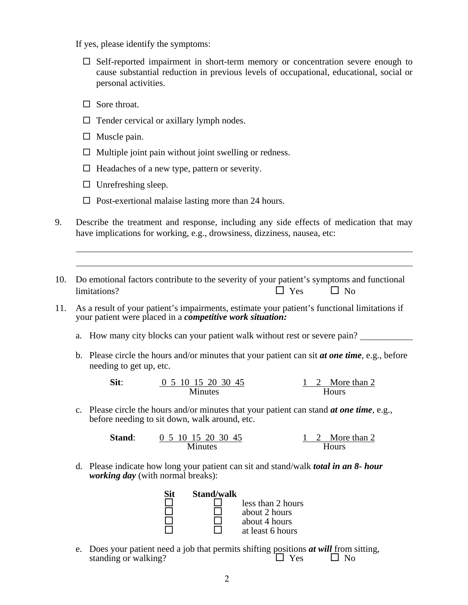If yes, please identify the symptoms:

- $\square$  Self-reported impairment in short-term memory or concentration severe enough to cause substantial reduction in previous levels of occupational, educational, social or personal activities.
- $\Box$  Sore throat.
- $\Box$  Tender cervical or axillary lymph nodes.
- $\Box$  Muscle pain.

 $\overline{a}$  $\overline{a}$ 

- $\Box$  Multiple joint pain without joint swelling or redness.
- $\Box$  Headaches of a new type, pattern or severity.
- $\Box$  Unrefreshing sleep.
- $\Box$  Post-exertional malaise lasting more than 24 hours.
- 9. Describe the treatment and response, including any side effects of medication that may have implications for working, e.g., drowsiness, dizziness, nausea, etc:
- 10. Do emotional factors contribute to the severity of your patient's symptoms and functional  $l$  limitations?  $\Box$  Yes  $\Box$  No
- 11. As a result of your patient's impairments, estimate your patient's functional limitations if your patient were placed in a *competitive work situation:*
	- a. How many city blocks can your patient walk without rest or severe pain?
	- b. Please circle the hours and/or minutes that your patient can sit *at one time,* e.g., before needing to get up, etc.

**Sit:**  $\frac{0}{5}$  10 15 20 30 45 1 2 More than 2 Minutes Hours

c. Please circle the hours and/or minutes that your patient can stand *at one time*, e.g., before needing to sit down, walk around, etc.

| <b>Stand:</b> | 0 5 10 15 20 30 45 |  | More than 2 |
|---------------|--------------------|--|-------------|
|               | Minutes            |  | Hours       |

d. Please indicate how long your patient can sit and stand/walk *total in an 8- hour working day* (with normal breaks):

| Sit | <b>Stand/walk</b> |                   |
|-----|-------------------|-------------------|
|     |                   | less than 2 hours |
|     |                   | about 2 hours     |
|     |                   | about 4 hours     |
|     |                   | at least 6 hours  |

e. Does your patient need a job that permits shifting positions *at will* from sitting, standing or walking?  $\Box$  Yes  $\Box$  No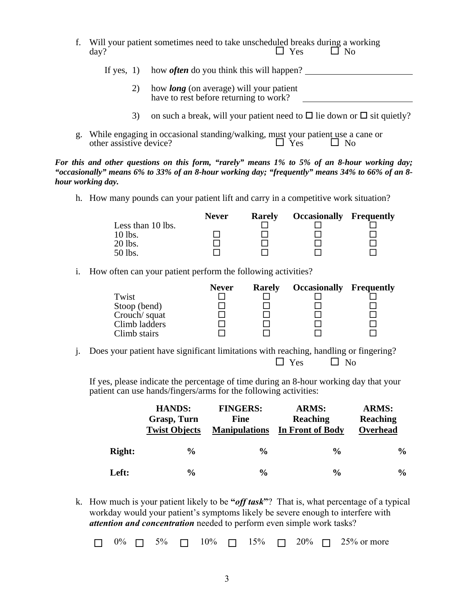- f. Will your patient sometimes need to take unscheduled breaks during a working day?  $\square$  Yes  $\square$  No day?  $\Box$  Yes  $\Box$  No
	- If yes, 1) how *often* do you think this will happen?
		- 2) how *long* (on average) will your patient have to rest before returning to work?
		- 3) on such a break, will your patient need to  $\Box$  lie down or  $\Box$  sit quietly?
- g. While engaging in occasional standing/walking, must your patient use a cane or other assistive device?  $\square$  Yes  $\square$  No other assistive device?  $\Box$  Yes  $\Box$  No

*For this and other questions on this form, "rarely" means 1% to 5% of an 8-hour working day; "occasionally" means 6% to 33% of an 8-hour working day; "frequently" means 34% to 66% of an 8 hour working day.*

h. How many pounds can your patient lift and carry in a competitive work situation?

|                   | <b>Never</b> | <b>Rarely</b> | <b>Occasionally Frequently</b> |  |
|-------------------|--------------|---------------|--------------------------------|--|
| Less than 10 lbs. |              |               |                                |  |
| 10 lbs.           |              |               |                                |  |
| 20 lbs.           |              |               |                                |  |
| 50 lbs.           |              |               |                                |  |

i. How often can your patient perform the following activities?

|               | <b>Never</b> | <b>Rarely</b> | <b>Occasionally Frequently</b> |  |
|---------------|--------------|---------------|--------------------------------|--|
| Twist         |              |               |                                |  |
| Stoop (bend)  |              |               |                                |  |
| Crouch/squat  |              |               |                                |  |
| Climb ladders |              |               |                                |  |
| Climb stairs  |              |               |                                |  |

j. Does your patient have significant limitations with reaching, handling or fingering?  $\Box$  Yes  $\Box$  No

If yes, please indicate the percentage of time during an 8-hour working day that your patient can use hands/fingers/arms for the following activities:

|               | <b>HANDS:</b><br>Grasp, Turn<br><b>Twist Objects</b> | <b>FINGERS:</b><br><b>Fine</b><br><b>Manipulations</b> | <b>ARMS:</b><br><b>Reaching</b><br>In Front of Body | <b>ARMS:</b><br>Reaching<br>Overhead |
|---------------|------------------------------------------------------|--------------------------------------------------------|-----------------------------------------------------|--------------------------------------|
| <b>Right:</b> | $\frac{0}{0}$                                        | $\frac{0}{0}$                                          | $\frac{6}{9}$                                       | $\frac{0}{0}$                        |
| <b>Left:</b>  | $\frac{0}{0}$                                        | $\frac{0}{0}$                                          | $\frac{6}{9}$                                       | $\frac{0}{0}$                        |

k. How much is your patient likely to be **"***off task***"**? That is, what percentage of a typical workday would your patient's symptoms likely be severe enough to interfere with *attention and concentration* needed to perform even simple work tasks?

 $\Box$  0%  $\Box$  5%  $\Box$  10%  $\Box$  15%  $\Box$  20%  $\Box$  25% or more